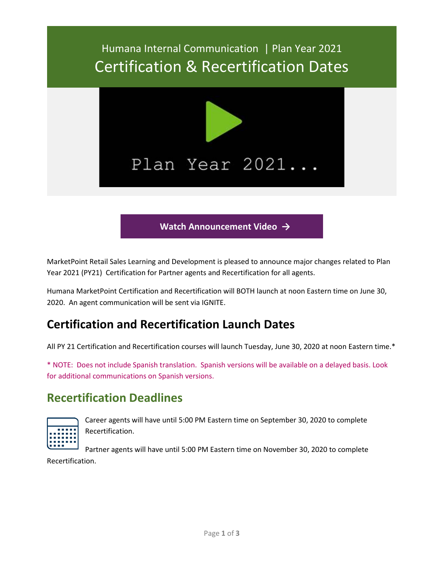# Humana Internal Communication | Plan Year 2021 Certification & Recertification Dates



#### **Watch [Announcement](https://bit.ly/2Vc2krr) Video →**

MarketPoint Retail Sales Learning and Development is pleased to announce major changes related to Plan Year 2021 (PY21) Certification for Partner agents and Recertification for all agents.

Humana MarketPoint Certification and Recertification will BOTH launch at noon Eastern time on June 30, 2020. An agent communication will be sent via IGNITE.

#### **Certification and Recertification Launch Dates**

All PY 21 Certification and Recertification courses will launch Tuesday, June 30, 2020 at noon Eastern time.\*

\* NOTE: Does not include Spanish translation. Spanish versions will be available on a delayed basis. Look for additional communications on Spanish versions.

#### **Recertification Deadlines**



Career agents will have until 5:00 PM Eastern time on September 30, 2020 to complete Recertification.

Partner agents will have until 5:00 PM Eastern time on November 30, 2020 to complete Recertification.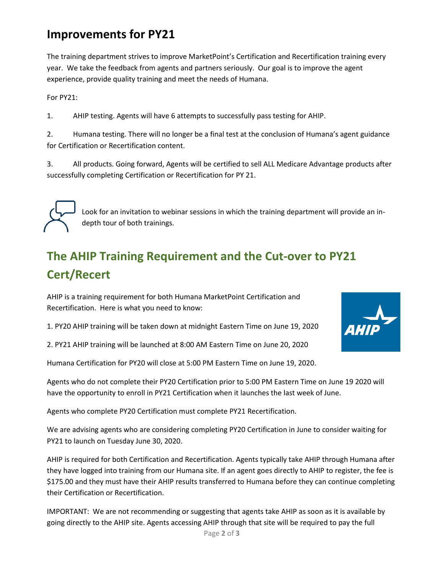#### **Improvements for PY21**

The training department strives to improve MarketPoint's Certification and Recertification training every year. We take the feedback from agents and partners seriously. Our goal is to improve the agent experience, provide quality training and meet the needs of Humana.

For PY21:

1. AHIP testing. Agents will have 6 attempts to successfully pass testing for AHIP.

2. Humana testing. There will no longer be a final test at the conclusion of Humana's agent guidance for Certification or Recertification content.

3. All products. Going forward, Agents will be certified to sell ALL Medicare Advantage products after successfully completing Certification or Recertification for PY 21.



Look for an invitation to webinar sessions in which the training department will provide an indepth tour of both trainings.

## **The AHIP Training Requirement and the Cut-over to PY21 Cert/Recert**

AHIP is a training requirement for both Humana MarketPoint Certification and Recertification. Here is what you need to know:

1. PY20 AHIP training will be taken down at midnight Eastern Time on June 19, 2020

2. PY21 AHIP training will be launched at 8:00 AM Eastern Time on June 20, 2020

Humana Certification for PY20 will close at 5:00 PM Eastern Time on June 19, 2020.

Agents who do not complete their PY20 Certification prior to 5:00 PM Eastern Time on June 19 2020 will have the opportunity to enroll in PY21 Certification when it launches the last week of June.

Agents who complete PY20 Certification must complete PY21 Recertification.

We are advising agents who are considering completing PY20 Certification in June to consider waiting for PY21 to launch on Tuesday June 30, 2020.

AHIP is required for both Certification and Recertification. Agents typically take AHIP through Humana after they have logged into training from our Humana site. If an agent goes directly to AHIP to register, the fee is \$175.00 and they must have their AHIP results transferred to Humana before they can continue completing their Certification or Recertification.

IMPORTANT: We are not recommending or suggesting that agents take AHIP as soon as it is available by going directly to the AHIP site. Agents accessing AHIP through that site will be required to pay the full